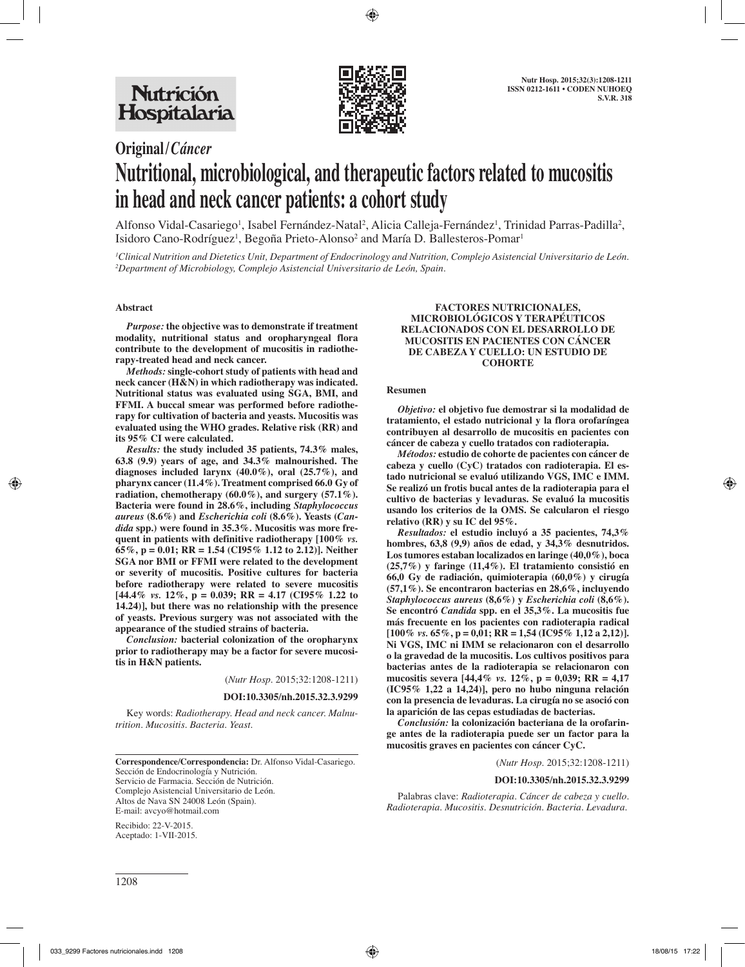

## **Original/***Cáncer*

# **Nutritional, microbiological, and therapeutic factors related to mucositis in head and neck cancer patients: a cohort study**

Alfonso Vidal-Casariego<sup>1</sup>, Isabel Fernández-Natal<sup>2</sup>, Alicia Calleja-Fernández<sup>1</sup>, Trinidad Parras-Padilla<sup>2</sup>, Isidoro Cano-Rodríguez<sup>i</sup>, Begoña Prieto-Alonso<sup>2</sup> and María D. Ballesteros-Pomar<sup>i</sup>

*1 Clinical Nutrition and Dietetics Unit, Department of Endocrinology and Nutrition, Complejo Asistencial Universitario de León. 2 Department of Microbiology, Complejo Asistencial Universitario de León, Spain.*

### **Abstract**

*Purpose:* **the objective was to demonstrate if treatment modality, nutritional status and oropharyngeal flora contribute to the development of mucositis in radiotherapy-treated head and neck cancer.**

*Methods:* **single-cohort study of patients with head and neck cancer (H&N) in which radiotherapy was indicated. Nutritional status was evaluated using SGA, BMI, and FFMI. A buccal smear was performed before radiotherapy for cultivation of bacteria and yeasts. Mucositis was evaluated using the WHO grades. Relative risk (RR) and its 95% CI were calculated.**

*Results:* **the study included 35 patients, 74.3% males, 63.8 (9.9) years of age, and 34.3% malnourished. The diagnoses included larynx (40.0%), oral (25.7%), and pharynx cancer (11.4%). Treatment comprised 66.0 Gy of radiation, chemotherapy (60.0%), and surgery (57.1%). Bacteria were found in 28.6%, including** *Staphylococcus aureus* **(8.6%) and** *Escherichia coli* **(8.6%). Yeasts (***Candida* **spp.) were found in 35.3%. Mucositis was more frequent in patients with definitive radiotherapy [100%** *vs.* **65%, p = 0.01; RR = 1.54 (CI95% 1.12 to 2.12)]. Neither SGA nor BMI or FFMI were related to the development or severity of mucositis. Positive cultures for bacteria before radiotherapy were related to severe mucositis [44.4%** *vs.* **12%, p = 0.039; RR = 4.17 (CI95% 1.22 to 14.24)], but there was no relationship with the presence of yeasts. Previous surgery was not associated with the appearance of the studied strains of bacteria.** 

*Conclusion:* **bacterial colonization of the oropharynx prior to radiotherapy may be a factor for severe mucositis in H&N patients.**

(*Nutr Hosp.* 2015;32:1208-1211)

#### **DOI:10.3305/nh.2015.32.3.9299**

Key words: *Radiotherapy. Head and neck cancer. Malnutrition. Mucositis. Bacteria. Yeast.*

**Correspondence/Correspondencia:** Dr. Alfonso Vidal-Casariego. Sección de Endocrinología y Nutrición. Servicio de Farmacia. Sección de Nutrición. Complejo Asistencial Universitario de León. Altos de Nava SN 24008 León (Spain). E-mail: avcyo@hotmail.com

Recibido: 22-V-2015. Aceptado: 1-VII-2015.

#### **FACTORES NUTRICIONALES, MICROBIOLÓGICOS Y TERAPÉUTICOS RELACIONADOS CON EL DESARROLLO DE MUCOSITIS EN PACIENTES CON CÁNCER DE CABEZA Y CUELLO: UN ESTUDIO DE COHORTE**

#### **Resumen**

*Objetivo:* **el objetivo fue demostrar si la modalidad de tratamiento, el estado nutricional y la flora orofaríngea contribuyen al desarrollo de mucositis en pacientes con cáncer de cabeza y cuello tratados con radioterapia.**

*Métodos:* **estudio de cohorte de pacientes con cáncer de cabeza y cuello (CyC) tratados con radioterapia. El estado nutricional se evaluó utilizando VGS, IMC e IMM. Se realizó un frotis bucal antes de la radioterapia para el cultivo de bacterias y levaduras. Se evaluó la mucositis usando los criterios de la OMS. Se calcularon el riesgo relativo (RR) y su IC del 95%.**

*Resultados:* **el estudio incluyó a 35 pacientes, 74,3% hombres, 63,8 (9,9) años de edad, y 34,3% desnutridos. Los tumores estaban localizados en laringe (40,0%), boca (25,7%) y faringe (11,4%). El tratamiento consistió en 66,0 Gy de radiación, quimioterapia (60,0%) y cirugía (57,1%). Se encontraron bacterias en 28,6%, incluyendo**  *Staphylococcus aureus* **(8,6%) y** *Escherichia coli* **(8,6%). Se encontró** *Candida* **spp. en el 35,3%. La mucositis fue más frecuente en los pacientes con radioterapia radical [100%** *vs.* **65%, p = 0,01; RR = 1,54 (IC95% 1,12 a 2,12)]. Ni VGS, IMC ni IMM se relacionaron con el desarrollo o la gravedad de la mucositis. Los cultivos positivos para bacterias antes de la radioterapia se relacionaron con mucositis severa [44,4%** *vs.* **12%, p = 0,039; RR = 4,17 (IC95% 1,22 a 14,24)], pero no hubo ninguna relación con la presencia de levaduras. La cirugía no se asoció con la aparición de las cepas estudiadas de bacterias.**

*Conclusión:* **la colonización bacteriana de la orofaringe antes de la radioterapia puede ser un factor para la mucositis graves en pacientes con cáncer CyC.** 

(*Nutr Hosp.* 2015;32:1208-1211)

#### **DOI:10.3305/nh.2015.32.3.9299**

Palabras clave: *Radioterapia. Cáncer de cabeza y cuello. Radioterapia. Mucositis. Desnutrición. Bacteria. Levadura.*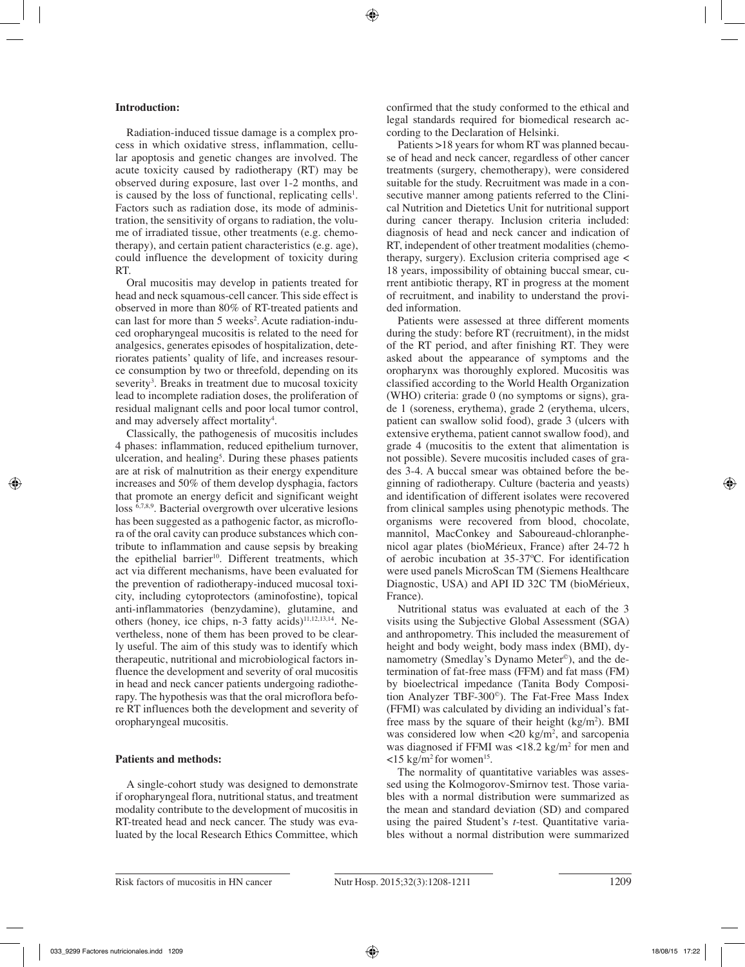## **Introduction:**

Radiation-induced tissue damage is a complex process in which oxidative stress, inflammation, cellular apoptosis and genetic changes are involved. The acute toxicity caused by radiotherapy (RT) may be observed during exposure, last over 1-2 months, and is caused by the loss of functional, replicating cells $l$ . Factors such as radiation dose, its mode of administration, the sensitivity of organs to radiation, the volume of irradiated tissue, other treatments (e.g. chemotherapy), and certain patient characteristics (e.g. age), could influence the development of toxicity during RT.

Oral mucositis may develop in patients treated for head and neck squamous-cell cancer. This side effect is observed in more than 80% of RT-treated patients and can last for more than 5 weeks<sup>2</sup>. Acute radiation-induced oropharyngeal mucositis is related to the need for analgesics, generates episodes of hospitalization, deteriorates patients' quality of life, and increases resource consumption by two or threefold, depending on its severity<sup>3</sup>. Breaks in treatment due to mucosal toxicity lead to incomplete radiation doses, the proliferation of residual malignant cells and poor local tumor control, and may adversely affect mortality<sup>4</sup>.

Classically, the pathogenesis of mucositis includes 4 phases: inflammation, reduced epithelium turnover, ulceration, and healing<sup>5</sup>. During these phases patients are at risk of malnutrition as their energy expenditure increases and 50% of them develop dysphagia, factors that promote an energy deficit and significant weight loss 6,7,8,9. Bacterial overgrowth over ulcerative lesions has been suggested as a pathogenic factor, as microflora of the oral cavity can produce substances which contribute to inflammation and cause sepsis by breaking the epithelial barrier<sup>10</sup>. Different treatments, which act via different mechanisms, have been evaluated for the prevention of radiotherapy-induced mucosal toxicity, including cytoprotectors (aminofostine), topical anti-inflammatories (benzydamine), glutamine, and others (honey, ice chips, n-3 fatty acids) $11,12,13,14$ . Nevertheless, none of them has been proved to be clearly useful. The aim of this study was to identify which therapeutic, nutritional and microbiological factors influence the development and severity of oral mucositis in head and neck cancer patients undergoing radiotherapy. The hypothesis was that the oral microflora before RT influences both the development and severity of oropharyngeal mucositis.

#### **Patients and methods:**

A single-cohort study was designed to demonstrate if oropharyngeal flora, nutritional status, and treatment modality contribute to the development of mucositis in RT-treated head and neck cancer. The study was evaluated by the local Research Ethics Committee, which confirmed that the study conformed to the ethical and legal standards required for biomedical research according to the Declaration of Helsinki.

Patients >18 years for whom RT was planned because of head and neck cancer, regardless of other cancer treatments (surgery, chemotherapy), were considered suitable for the study. Recruitment was made in a consecutive manner among patients referred to the Clinical Nutrition and Dietetics Unit for nutritional support during cancer therapy. Inclusion criteria included: diagnosis of head and neck cancer and indication of RT, independent of other treatment modalities (chemotherapy, surgery). Exclusion criteria comprised age < 18 years, impossibility of obtaining buccal smear, current antibiotic therapy, RT in progress at the moment of recruitment, and inability to understand the provided information.

Patients were assessed at three different moments during the study: before RT (recruitment), in the midst of the RT period, and after finishing RT. They were asked about the appearance of symptoms and the oropharynx was thoroughly explored. Mucositis was classified according to the World Health Organization (WHO) criteria: grade 0 (no symptoms or signs), grade 1 (soreness, erythema), grade 2 (erythema, ulcers, patient can swallow solid food), grade 3 (ulcers with extensive erythema, patient cannot swallow food), and grade 4 (mucositis to the extent that alimentation is not possible). Severe mucositis included cases of grades 3-4. A buccal smear was obtained before the beginning of radiotherapy. Culture (bacteria and yeasts) and identification of different isolates were recovered from clinical samples using phenotypic methods. The organisms were recovered from blood, chocolate, mannitol, MacConkey and Saboureaud-chloranphenicol agar plates (bioMérieux, France) after 24-72 h of aerobic incubation at 35-37ºC. For identification were used panels MicroScan TM (Siemens Healthcare Diagnostic, USA) and API ID 32C TM (bioMérieux, France).

Nutritional status was evaluated at each of the 3 visits using the Subjective Global Assessment (SGA) and anthropometry. This included the measurement of height and body weight, body mass index (BMI), dynamometry (Smedlay's Dynamo Meter©), and the determination of fat-free mass (FFM) and fat mass (FM) by bioelectrical impedance (Tanita Body Composition Analyzer TBF-300©). The Fat-Free Mass Index (FFMI) was calculated by dividing an individual's fatfree mass by the square of their height  $(kg/m<sup>2</sup>)$ . BMI was considered low when  $\langle 20 \text{ kg/m}^2$ , and sarcopenia was diagnosed if FFMI was  $\langle 18.2 \text{ kg/m}^2 \rangle$  for men and  $\langle$ 15 kg/m<sup>2</sup> for women<sup>15</sup>.

The normality of quantitative variables was assessed using the Kolmogorov-Smirnov test. Those variables with a normal distribution were summarized as the mean and standard deviation (SD) and compared using the paired Student's *t*-test. Quantitative variables without a normal distribution were summarized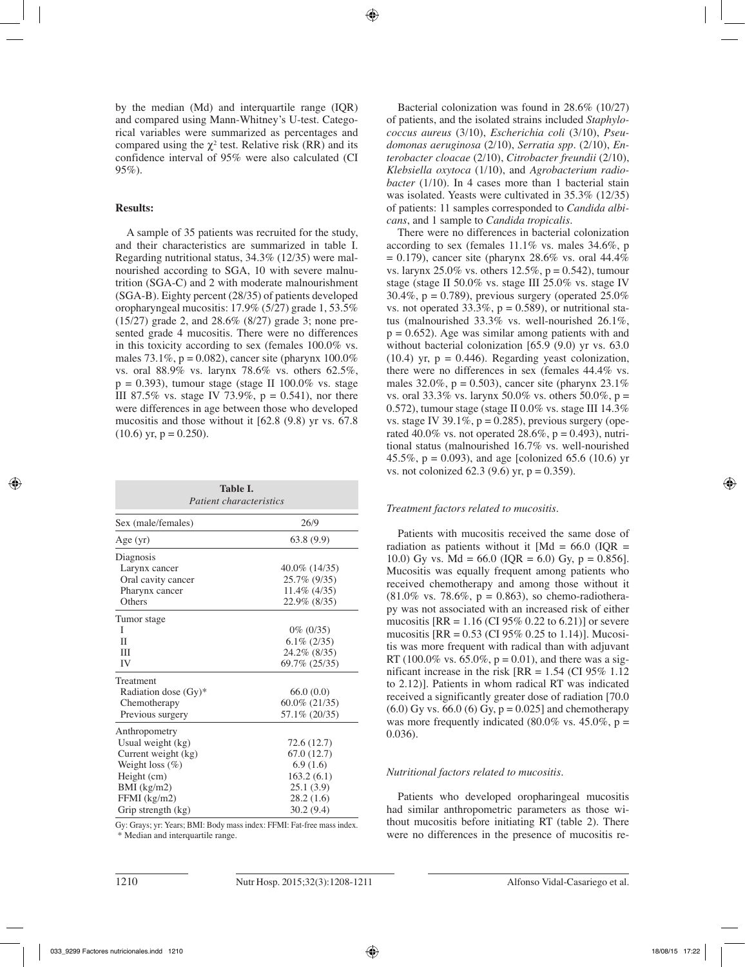by the median (Md) and interquartile range (IQR) and compared using Mann-Whitney's U-test. Categorical variables were summarized as percentages and compared using the  $\chi^2$  test. Relative risk (RR) and its confidence interval of 95% were also calculated (CI 95%).

## **Results:**

A sample of 35 patients was recruited for the study, and their characteristics are summarized in table I. Regarding nutritional status, 34.3% (12/35) were malnourished according to SGA, 10 with severe malnutrition (SGA-C) and 2 with moderate malnourishment (SGA-B). Eighty percent (28/35) of patients developed oropharyngeal mucositis: 17.9% (5/27) grade 1, 53.5% (15/27) grade 2, and 28.6% (8/27) grade 3; none presented grade 4 mucositis. There were no differences in this toxicity according to sex (females 100.0% vs. males 73.1%,  $p = 0.082$ ), cancer site (pharynx 100.0%) vs. oral 88.9% vs. larynx 78.6% vs. others 62.5%,  $p = 0.393$ ), tumour stage (stage II 100.0% vs. stage III 87.5% vs. stage IV 73.9%,  $p = 0.541$ , nor there were differences in age between those who developed mucositis and those without it [62.8 (9.8) yr vs. 67.8  $(10.6)$  yr, p = 0.250).

| Table I.<br><i>Patient characteristics</i> |                 |  |
|--------------------------------------------|-----------------|--|
| Sex (male/females)                         | 26/9            |  |
| Age $(yr)$                                 | 63.8(9.9)       |  |
| Diagnosis                                  |                 |  |
| Larynx cancer                              | 40.0\% (14/35)  |  |
| Oral cavity cancer                         | 25.7% (9/35)    |  |
| Pharynx cancer                             | $11.4\%$ (4/35) |  |
| Others                                     | 22.9% (8/35)    |  |
| Tumor stage                                |                 |  |
| T                                          | $0\%$ (0/35)    |  |
| П                                          | $6.1\% (2/35)$  |  |
| Ш                                          | 24.2% (8/35)    |  |
| IV                                         | 69.7% (25/35)   |  |
| Treatment                                  |                 |  |
| Radiation dose $(Gy)$ *                    | 66.0(0.0)       |  |
| Chemotherapy                               | 60.0% (21/35)   |  |
| Previous surgery                           | 57.1\% (20/35)  |  |
| Anthropometry                              |                 |  |
| Usual weight (kg)                          | 72.6 (12.7)     |  |
| Current weight (kg)                        | 67.0 (12.7)     |  |
| Weight loss $(\%)$                         | 6.9(1.6)        |  |
| Height (cm)                                | 163.2(6.1)      |  |
| BMI (kg/m2)                                | 25.1(3.9)       |  |
| FFMI (kg/m2)                               | 28.2(1.6)       |  |
| Grip strength (kg)                         | 30.2(9.4)       |  |

Gy: Grays; yr: Years; BMI: Body mass index: FFMI: Fat-free mass index. \* Median and interquartile range.

Bacterial colonization was found in 28.6% (10/27) of patients, and the isolated strains included *Staphylococcus aureus* (3/10), *Escherichia coli* (3/10), *Pseudomonas aeruginosa* (2/10), *Serratia spp.* (2/10), *Enterobacter cloacae* (2/10), *Citrobacter freundii* (2/10), *Klebsiella oxytoca* (1/10), and *Agrobacterium radiobacter* (1/10). In 4 cases more than 1 bacterial stain was isolated. Yeasts were cultivated in 35.3% (12/35) of patients: 11 samples corresponded to *Candida albicans*, and 1 sample to *Candida tropicalis*.

There were no differences in bacterial colonization according to sex (females 11.1% vs. males 34.6%, p  $= 0.179$ ), cancer site (pharynx 28.6% vs. oral 44.4% vs. larynx 25.0% vs. others  $12.5\%$ , p = 0.542), tumour stage (stage II 50.0% vs. stage III 25.0% vs. stage IV 30.4%,  $p = 0.789$ , previous surgery (operated 25.0%) vs. not operated  $33.3\%$ ,  $p = 0.589$ ), or nutritional status (malnourished 33.3% vs. well-nourished 26.1%,  $p = 0.652$ . Age was similar among patients with and without bacterial colonization [65.9 (9.0) yr vs. 63.0 (10.4) yr,  $p = 0.446$ ). Regarding yeast colonization, there were no differences in sex (females 44.4% vs. males 32.0%,  $p = 0.503$ ), cancer site (pharynx 23.1%) vs. oral 33.3% vs. larynx 50.0% vs. others 50.0%,  $p =$ 0.572), tumour stage (stage II 0.0% vs. stage III 14.3% vs. stage IV 39.1%,  $p = 0.285$ ), previous surgery (operated 40.0% vs. not operated  $28.6\%$ , p = 0.493), nutritional status (malnourished 16.7% vs. well-nourished 45.5%,  $p = 0.093$ ), and age [colonized 65.6 (10.6) yr vs. not colonized 62.3 (9.6) yr,  $p = 0.359$ .

#### *Treatment factors related to mucositis.*

Patients with mucositis received the same dose of radiation as patients without it  $[Md = 66.0 (IOR =$ 10.0) Gy vs. Md = 66.0 (IQR = 6.0) Gy,  $p = 0.856$ ]. Mucositis was equally frequent among patients who received chemotherapy and among those without it  $(81.0\% \text{ vs. } 78.6\%, \text{ p} = 0.863)$ , so chemo-radiotherapy was not associated with an increased risk of either mucositis  $[RR = 1.16$  (CI 95% 0.22 to 6.21)] or severe mucositis [RR = 0.53 (CI 95% 0.25 to 1.14)]. Mucositis was more frequent with radical than with adjuvant RT (100.0% vs. 65.0%,  $p = 0.01$ ), and there was a significant increase in the risk  $\text{IRR} = 1.54 \text{ (CI 95\% } 1.12 \text{)}$ to 2.12)]. Patients in whom radical RT was indicated received a significantly greater dose of radiation [70.0  $(6.0)$  Gy vs. 66.0 (6) Gy, p = 0.0251 and chemotherapy was more frequently indicated (80.0% vs. 45.0%,  $p =$ 0.036).

## *Nutritional factors related to mucositis.*

Patients who developed oropharingeal mucositis had similar anthropometric parameters as those without mucositis before initiating RT (table 2). There were no differences in the presence of mucositis re-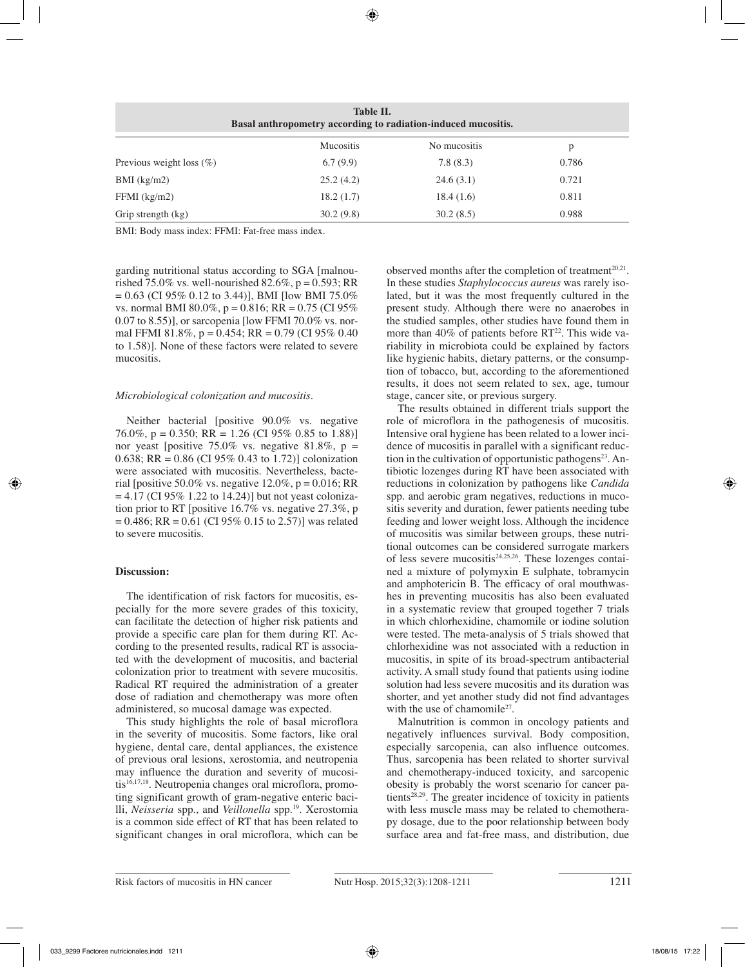| Table II.<br>Basal anthropometry according to radiation-induced mucositis. |                  |              |       |
|----------------------------------------------------------------------------|------------------|--------------|-------|
|                                                                            | <b>Mucositis</b> | No mucositis | p     |
| Previous weight loss $(\% )$                                               | 6.7(9.9)         | 7.8(8.3)     | 0.786 |
| $BMI$ (kg/m2)                                                              | 25.2(4.2)        | 24.6(3.1)    | 0.721 |
| $FFMI$ (kg/m2)                                                             | 18.2(1.7)        | 18.4(1.6)    | 0.811 |
| Grip strength (kg)                                                         | 30.2(9.8)        | 30.2(8.5)    | 0.988 |

BMI: Body mass index: FFMI: Fat-free mass index.

garding nutritional status according to SGA [malnourished 75.0% vs. well-nourished 82.6%,  $p = 0.593$ ; RR  $= 0.63$  (CI 95% 0.12 to 3.44)], BMI flow BMI 75.0% vs. normal BMI 80.0%,  $p = 0.816$ ; RR = 0.75 (CI 95%) 0.07 to 8.55)], or sarcopenia [low FFMI 70.0% vs. normal FFMI 81.8%,  $p = 0.454$ ; RR = 0.79 (CI 95% 0.40) to 1.58)]. None of these factors were related to severe mucositis.

## *Microbiological colonization and mucositis.*

Neither bacterial [positive 90.0% vs. negative 76.0%, p = 0.350; RR = 1.26 (CI 95% 0.85 to 1.88)] nor yeast [positive 75.0% vs. negative 81.8%,  $p =$ 0.638; RR =  $0.86$  (CI 95% 0.43 to 1.72)] colonization were associated with mucositis. Nevertheless, bacterial [positive 50.0% vs. negative  $12.0\%$ , p = 0.016; RR  $= 4.17$  (CI 95% 1.22 to 14.24)] but not yeast colonization prior to RT [positive 16.7% vs. negative 27.3%, p  $= 0.486$ ; RR = 0.61 (CI 95% 0.15 to 2.57)] was related to severe mucositis.

## **Discussion:**

The identification of risk factors for mucositis, especially for the more severe grades of this toxicity, can facilitate the detection of higher risk patients and provide a specific care plan for them during RT. According to the presented results, radical RT is associated with the development of mucositis, and bacterial colonization prior to treatment with severe mucositis. Radical RT required the administration of a greater dose of radiation and chemotherapy was more often administered, so mucosal damage was expected.

This study highlights the role of basal microflora in the severity of mucositis. Some factors, like oral hygiene, dental care, dental appliances, the existence of previous oral lesions, xerostomia, and neutropenia may influence the duration and severity of mucositis<sup>16,17,18</sup>. Neutropenia changes oral microflora, promoting significant growth of gram-negative enteric bacilli, *Neisseria* spp., and *Veillonella* spp.19. Xerostomia is a common side effect of RT that has been related to significant changes in oral microflora, which can be observed months after the completion of treatment $20.21$ . In these studies *Staphylococcus aureus* was rarely isolated, but it was the most frequently cultured in the present study. Although there were no anaerobes in the studied samples, other studies have found them in more than  $40\%$  of patients before RT<sup>22</sup>. This wide variability in microbiota could be explained by factors like hygienic habits, dietary patterns, or the consumption of tobacco, but, according to the aforementioned results, it does not seem related to sex, age, tumour stage, cancer site, or previous surgery.

The results obtained in different trials support the role of microflora in the pathogenesis of mucositis. Intensive oral hygiene has been related to a lower incidence of mucositis in parallel with a significant reduction in the cultivation of opportunistic pathogens<sup>23</sup>. Antibiotic lozenges during RT have been associated with reductions in colonization by pathogens like *Candida* spp. and aerobic gram negatives, reductions in mucositis severity and duration, fewer patients needing tube feeding and lower weight loss. Although the incidence of mucositis was similar between groups, these nutritional outcomes can be considered surrogate markers of less severe mucositis<sup>24,25,26</sup>. These lozenges contained a mixture of polymyxin E sulphate, tobramycin and amphotericin B. The efficacy of oral mouthwashes in preventing mucositis has also been evaluated in a systematic review that grouped together 7 trials in which chlorhexidine, chamomile or iodine solution were tested. The meta-analysis of 5 trials showed that chlorhexidine was not associated with a reduction in mucositis, in spite of its broad-spectrum antibacterial activity. A small study found that patients using iodine solution had less severe mucositis and its duration was shorter, and yet another study did not find advantages with the use of chamomile<sup>27</sup>.

Malnutrition is common in oncology patients and negatively influences survival. Body composition, especially sarcopenia, can also influence outcomes. Thus, sarcopenia has been related to shorter survival and chemotherapy-induced toxicity, and sarcopenic obesity is probably the worst scenario for cancer patients<sup>28,29</sup>. The greater incidence of toxicity in patients with less muscle mass may be related to chemotherapy dosage, due to the poor relationship between body surface area and fat-free mass, and distribution, due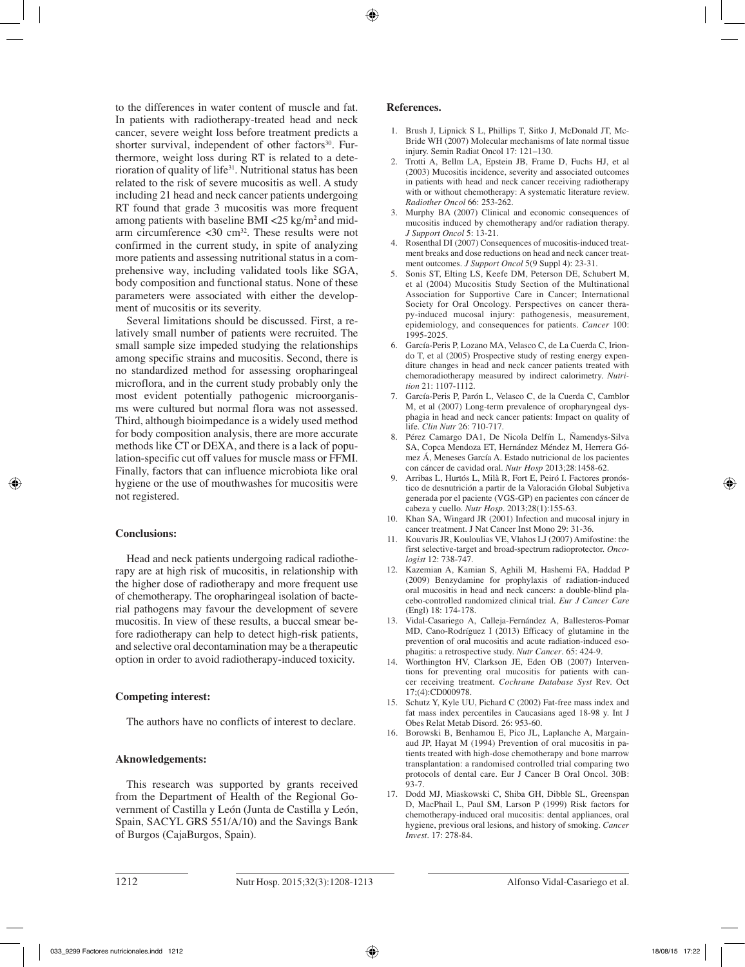to the differences in water content of muscle and fat. In patients with radiotherapy-treated head and neck cancer, severe weight loss before treatment predicts a shorter survival, independent of other factors<sup>30</sup>. Furthermore, weight loss during RT is related to a deterioration of quality of life<sup>31</sup>. Nutritional status has been related to the risk of severe mucositis as well. A study including 21 head and neck cancer patients undergoing RT found that grade 3 mucositis was more frequent among patients with baseline BMI  $\langle 25 \text{ kg/m}^2 \rangle$  and midarm circumference  $\langle 30 \text{ cm}^{32} \rangle$ . These results were not confirmed in the current study, in spite of analyzing more patients and assessing nutritional status in a comprehensive way, including validated tools like SGA, body composition and functional status. None of these parameters were associated with either the development of mucositis or its severity.

Several limitations should be discussed. First, a relatively small number of patients were recruited. The small sample size impeded studying the relationships among specific strains and mucositis. Second, there is no standardized method for assessing oropharingeal microflora, and in the current study probably only the most evident potentially pathogenic microorganisms were cultured but normal flora was not assessed. Third, although bioimpedance is a widely used method for body composition analysis, there are more accurate methods like CT or DEXA, and there is a lack of population-specific cut off values for muscle mass or FFMI. Finally, factors that can influence microbiota like oral hygiene or the use of mouthwashes for mucositis were not registered.

## **Conclusions:**

Head and neck patients undergoing radical radiotherapy are at high risk of mucositis, in relationship with the higher dose of radiotherapy and more frequent use of chemotherapy. The oropharingeal isolation of bacterial pathogens may favour the development of severe mucositis. In view of these results, a buccal smear before radiotherapy can help to detect high-risk patients, and selective oral decontamination may be a therapeutic option in order to avoid radiotherapy-induced toxicity.

## **Competing interest:**

The authors have no conflicts of interest to declare.

#### **Aknowledgements:**

This research was supported by grants received from the Department of Health of the Regional Government of Castilla y León (Junta de Castilla y León, Spain, SACYL GRS 551/A/10) and the Savings Bank of Burgos (CajaBurgos, Spain).

#### **References.**

- 1. Brush J, Lipnick S L, Phillips T, Sitko J, McDonald JT, Mc-Bride WH (2007) Molecular mechanisms of late normal tissue injury. Semin Radiat Oncol 17: 121–130.
- 2. Trotti A, Bellm LA, Epstein JB, Frame D, Fuchs HJ, et al (2003) Mucositis incidence, severity and associated outcomes in patients with head and neck cancer receiving radiotherapy with or without chemotherapy: A systematic literature review. *Radiother Oncol* 66: 253-262.
- 3. Murphy BA (2007) Clinical and economic consequences of mucositis induced by chemotherapy and/or radiation therapy. *J Support Oncol* 5: 13-21.
- 4. Rosenthal DI (2007) Consequences of mucositis-induced treatment breaks and dose reductions on head and neck cancer treatment outcomes. *J Support Oncol* 5(9 Suppl 4): 23-31.
- 5. Sonis ST, Elting LS, Keefe DM, Peterson DE, Schubert M, et al (2004) Mucositis Study Section of the Multinational Association for Supportive Care in Cancer; International Society for Oral Oncology. Perspectives on cancer therapy-induced mucosal injury: pathogenesis, measurement, epidemiology, and consequences for patients. *Cancer* 100: 1995-2025.
- 6. García-Peris P, Lozano MA, Velasco C, de La Cuerda C, Iriondo T, et al (2005) Prospective study of resting energy expenditure changes in head and neck cancer patients treated with chemoradiotherapy measured by indirect calorimetry. *Nutrition* 21: 1107-1112.
- 7. García-Peris P, Parón L, Velasco C, de la Cuerda C, Camblor M, et al (2007) Long-term prevalence of oropharyngeal dysphagia in head and neck cancer patients: Impact on quality of life. *Clin Nutr* 26: 710-717.
- 8. Pérez Camargo DA1, De Nicola Delfín L, Ñamendys-Silva SA, Copca Mendoza ET, Hernández Méndez M, Herrera Gómez Á, Meneses García A. Estado nutricional de los pacientes con cáncer de cavidad oral. *Nutr Hosp* 2013;28:1458-62.
- 9. Arribas L, Hurtós L, Milà R, Fort E, Peiró I. Factores pronóstico de desnutrición a partir de la Valoración Global Subjetiva generada por el paciente (VGS-GP) en pacientes con cáncer de cabeza y cuello. *Nutr Hosp*. 2013;28(1):155-63.
- 10. Khan SA, Wingard JR (2001) Infection and mucosal injury in cancer treatment. J Nat Cancer Inst Mono 29: 31-36.
- 11. Kouvaris JR, Kouloulias VE, Vlahos LJ (2007) Amifostine: the first selective-target and broad-spectrum radioprotector. *Oncologist* 12: 738-747.
- 12. Kazemian A, Kamian S, Aghili M, Hashemi FA, Haddad P (2009) Benzydamine for prophylaxis of radiation-induced oral mucositis in head and neck cancers: a double-blind placebo-controlled randomized clinical trial. *Eur J Cancer Care* (Engl) 18: 174-178.
- 13. Vidal-Casariego A, Calleja-Fernández A, Ballesteros-Pomar MD, Cano-Rodríguez I (2013) Efficacy of glutamine in the prevention of oral mucositis and acute radiation-induced esophagitis: a retrospective study. *Nutr Cancer*. 65: 424-9.
- 14. Worthington HV, Clarkson JE, Eden OB (2007) Interventions for preventing oral mucositis for patients with cancer receiving treatment. *Cochrane Database Syst* Rev. Oct 17;(4):CD000978.
- 15. Schutz Y, Kyle UU, Pichard C (2002) Fat-free mass index and fat mass index percentiles in Caucasians aged 18-98 y. Int J Obes Relat Metab Disord. 26: 953-60.
- 16. Borowski B, Benhamou E, Pico JL, Laplanche A, Margainaud JP, Hayat M (1994) Prevention of oral mucositis in patients treated with high-dose chemotherapy and bone marrow transplantation: a randomised controlled trial comparing two protocols of dental care. Eur J Cancer B Oral Oncol. 30B: 93-7.
- 17. Dodd MJ, Miaskowski C, Shiba GH, Dibble SL, Greenspan D, MacPhail L, Paul SM, Larson P (1999) Risk factors for chemotherapy-induced oral mucositis: dental appliances, oral hygiene, previous oral lesions, and history of smoking. *Cancer Invest.* 17: 278-84.